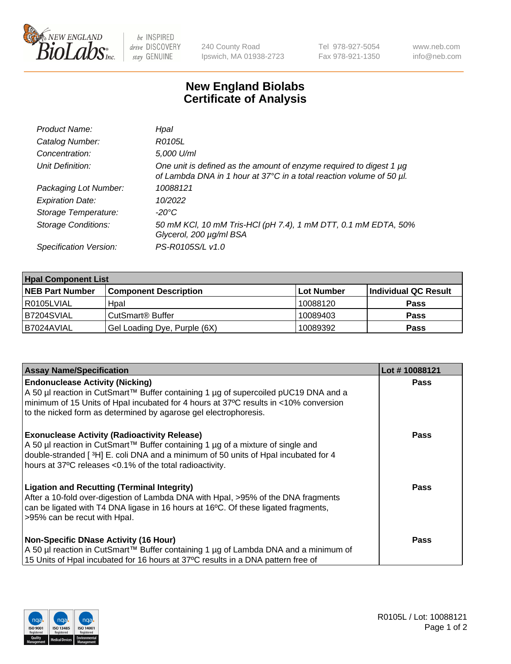

 $be$  INSPIRED drive DISCOVERY stay GENUINE

240 County Road Ipswich, MA 01938-2723 Tel 978-927-5054 Fax 978-921-1350 www.neb.com info@neb.com

## **New England Biolabs Certificate of Analysis**

| Product Name:              | Hpal                                                                                                                                             |
|----------------------------|--------------------------------------------------------------------------------------------------------------------------------------------------|
| Catalog Number:            | R0105L                                                                                                                                           |
| Concentration:             | 5,000 U/ml                                                                                                                                       |
| Unit Definition:           | One unit is defined as the amount of enzyme required to digest 1 $\mu$ g<br>of Lambda DNA in 1 hour at 37°C in a total reaction volume of 50 µl. |
| Packaging Lot Number:      | 10088121                                                                                                                                         |
| <b>Expiration Date:</b>    | 10/2022                                                                                                                                          |
| Storage Temperature:       | $-20^{\circ}$ C                                                                                                                                  |
| <b>Storage Conditions:</b> | 50 mM KCl, 10 mM Tris-HCl (pH 7.4), 1 mM DTT, 0.1 mM EDTA, 50%<br>Glycerol, 200 µg/ml BSA                                                        |
| Specification Version:     | PS-R0105S/L v1.0                                                                                                                                 |

| <b>Hpal Component List</b> |                              |            |                      |  |  |
|----------------------------|------------------------------|------------|----------------------|--|--|
| <b>NEB Part Number</b>     | <b>Component Description</b> | Lot Number | Individual QC Result |  |  |
| R0105LVIAL                 | Hpal                         | 10088120   | <b>Pass</b>          |  |  |
| B7204SVIAL                 | CutSmart <sup>®</sup> Buffer | 10089403   | <b>Pass</b>          |  |  |
| B7024AVIAL                 | Gel Loading Dye, Purple (6X) | 10089392   | <b>Pass</b>          |  |  |

| <b>Assay Name/Specification</b>                                                                                                                                                                                                                                                          | Lot #10088121 |
|------------------------------------------------------------------------------------------------------------------------------------------------------------------------------------------------------------------------------------------------------------------------------------------|---------------|
| <b>Endonuclease Activity (Nicking)</b><br>  A 50 µl reaction in CutSmart™ Buffer containing 1 µg of supercoiled pUC19 DNA and a                                                                                                                                                          | <b>Pass</b>   |
| minimum of 15 Units of Hpal incubated for 4 hours at 37°C results in <10% conversion<br>to the nicked form as determined by agarose gel electrophoresis.                                                                                                                                 |               |
| <b>Exonuclease Activity (Radioactivity Release)</b><br>A 50 µl reaction in CutSmart™ Buffer containing 1 µg of a mixture of single and<br>double-stranded [3H] E. coli DNA and a minimum of 50 units of Hpal incubated for 4<br>hours at 37°C releases <0.1% of the total radioactivity. | <b>Pass</b>   |
| <b>Ligation and Recutting (Terminal Integrity)</b><br>After a 10-fold over-digestion of Lambda DNA with Hpal, >95% of the DNA fragments<br>can be ligated with T4 DNA ligase in 16 hours at 16°C. Of these ligated fragments,<br>>95% can be recut with Hpal.                            | Pass          |
| <b>Non-Specific DNase Activity (16 Hour)</b><br>A 50 µl reaction in CutSmart™ Buffer containing 1 µg of Lambda DNA and a minimum of<br>15 Units of Hpal incubated for 16 hours at 37°C results in a DNA pattern free of                                                                  | <b>Pass</b>   |